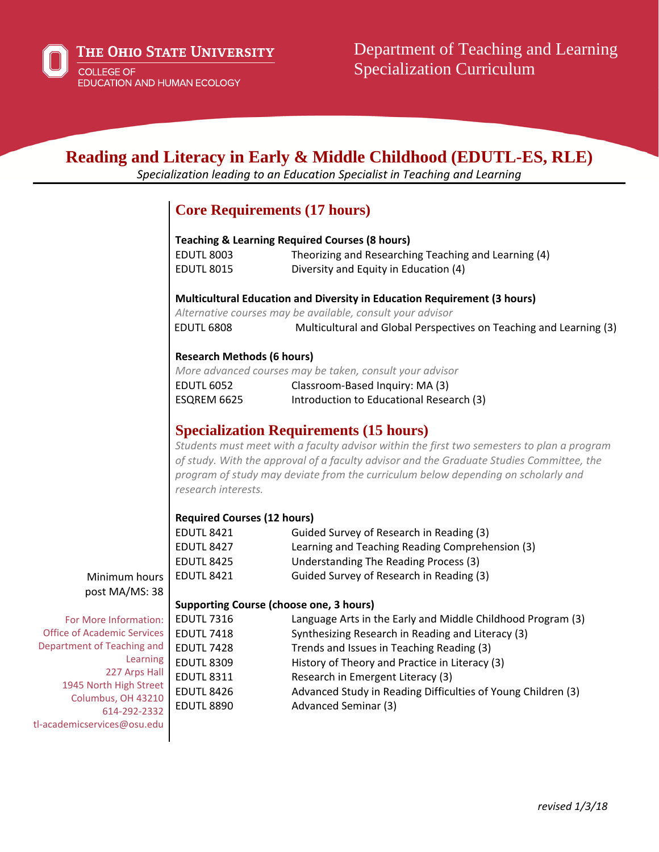## **Reading and Literacy in Early & Middle Childhood (EDUTL-ES, RLE)**

*Specialization leading to an Education Specialist in Teaching and Learning*

## **Core Requirements (17 hours)**

|                                              | <b>Teaching &amp; Learning Required Courses (8 hours)</b>                                                                                                                                                                                                                                                                                |                                                                    |
|----------------------------------------------|------------------------------------------------------------------------------------------------------------------------------------------------------------------------------------------------------------------------------------------------------------------------------------------------------------------------------------------|--------------------------------------------------------------------|
|                                              | <b>EDUTL 8003</b>                                                                                                                                                                                                                                                                                                                        | Theorizing and Researching Teaching and Learning (4)               |
|                                              | <b>EDUTL 8015</b>                                                                                                                                                                                                                                                                                                                        | Diversity and Equity in Education (4)                              |
|                                              | Multicultural Education and Diversity in Education Requirement (3 hours)<br>Alternative courses may be available, consult your advisor                                                                                                                                                                                                   |                                                                    |
|                                              |                                                                                                                                                                                                                                                                                                                                          |                                                                    |
|                                              | <b>EDUTL 6808</b>                                                                                                                                                                                                                                                                                                                        | Multicultural and Global Perspectives on Teaching and Learning (3) |
|                                              | <b>Research Methods (6 hours)</b>                                                                                                                                                                                                                                                                                                        |                                                                    |
|                                              | More advanced courses may be taken, consult your advisor                                                                                                                                                                                                                                                                                 |                                                                    |
|                                              | <b>EDUTL 6052</b>                                                                                                                                                                                                                                                                                                                        | Classroom-Based Inquiry: MA (3)                                    |
|                                              | ESQREM 6625                                                                                                                                                                                                                                                                                                                              | Introduction to Educational Research (3)                           |
|                                              |                                                                                                                                                                                                                                                                                                                                          | <b>Specialization Requirements (15 hours)</b>                      |
|                                              | Students must meet with a faculty advisor within the first two semesters to plan a program<br>of study. With the approval of a faculty advisor and the Graduate Studies Committee, the<br>program of study may deviate from the curriculum below depending on scholarly and<br>research interests.<br><b>Required Courses (12 hours)</b> |                                                                    |
|                                              |                                                                                                                                                                                                                                                                                                                                          |                                                                    |
|                                              | <b>EDUTL 8421</b>                                                                                                                                                                                                                                                                                                                        | Guided Survey of Research in Reading (3)                           |
|                                              | <b>EDUTL 8427</b>                                                                                                                                                                                                                                                                                                                        | Learning and Teaching Reading Comprehension (3)                    |
|                                              | <b>EDUTL 8425</b>                                                                                                                                                                                                                                                                                                                        | Understanding The Reading Process (3)                              |
| Minimum hours                                | <b>EDUTL 8421</b>                                                                                                                                                                                                                                                                                                                        | Guided Survey of Research in Reading (3)                           |
| post MA/MS: 38                               |                                                                                                                                                                                                                                                                                                                                          |                                                                    |
|                                              | <b>Supporting Course (choose one, 3 hours)</b>                                                                                                                                                                                                                                                                                           |                                                                    |
| For More Information:                        | <b>EDUTL 7316</b>                                                                                                                                                                                                                                                                                                                        | Language Arts in the Early and Middle Childhood Program (3)        |
| <b>Office of Academic Services</b>           | <b>EDUTL 7418</b>                                                                                                                                                                                                                                                                                                                        | Synthesizing Research in Reading and Literacy (3)                  |
| Department of Teaching and                   | <b>EDUTL 7428</b>                                                                                                                                                                                                                                                                                                                        | Trends and Issues in Teaching Reading (3)                          |
| Learning                                     | <b>EDUTL 8309</b>                                                                                                                                                                                                                                                                                                                        | History of Theory and Practice in Literacy (3)                     |
| 227 Arps Hall                                | <b>EDUTL 8311</b>                                                                                                                                                                                                                                                                                                                        | Research in Emergent Literacy (3)                                  |
| 1945 North High Street<br>Columbus, OH 43210 | <b>EDUTL 8426</b>                                                                                                                                                                                                                                                                                                                        | Advanced Study in Reading Difficulties of Young Children (3)       |
| 614-292-2332                                 | <b>EDUTL 8890</b>                                                                                                                                                                                                                                                                                                                        | <b>Advanced Seminar (3)</b>                                        |
| tl-academicservices@osu.edu                  |                                                                                                                                                                                                                                                                                                                                          |                                                                    |